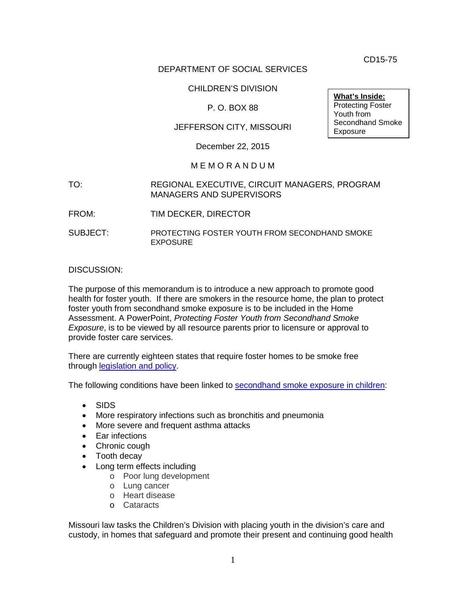CD15-75

## DEPARTMENT OF SOCIAL SERVICES

### CHILDREN'S DIVISION

## P. O. BOX 88

## JEFFERSON CITY, MISSOURI

December 22, 2015

### M E M O R A N D U M

- TO: REGIONAL EXECUTIVE, CIRCUIT MANAGERS, PROGRAM MANAGERS AND SUPERVISORS
- FROM: TIM DECKER, DIRECTOR
- SUBJECT: PROTECTING FOSTER YOUTH FROM SECONDHAND SMOKE EXPOSURE

### DISCUSSION:

The purpose of this memorandum is to introduce a new approach to promote good health for foster youth. If there are smokers in the resource home, the plan to protect foster youth from secondhand smoke exposure is to be included in the Home Assessment. A PowerPoint, *Protecting Foster Youth from Secondhand Smoke Exposure*, is to be viewed by all resource parents prior to licensure or approval to provide foster care services.

There are currently eighteen states that require foster homes to be smoke free through [legislation and policy.](http://www.njgasp.org/wp-content/uploads/2014/05/d_Foster_Homes_and_Cars.pdf)

The following conditions have been linked to [secondhand smoke exposure in children:](https://www.healthychildren.org/English/health-issues/conditions/tobacco/Pages/Dangers-of-Secondhand-Smoke.aspx)

- SIDS
- More respiratory infections such as bronchitis and pneumonia
- More severe and frequent asthma attacks
- Ear infections
- Chronic cough
- Tooth decay
- Long term effects including
	- o Poor lung development
	- o Lung cancer
	- o Heart disease
	- o Cataracts

Missouri law tasks the Children's Division with placing youth in the division's care and custody, in homes that safeguard and promote their present and continuing good health

**What's Inside:** Protecting Foster Youth from Secondhand Smoke **Exposure**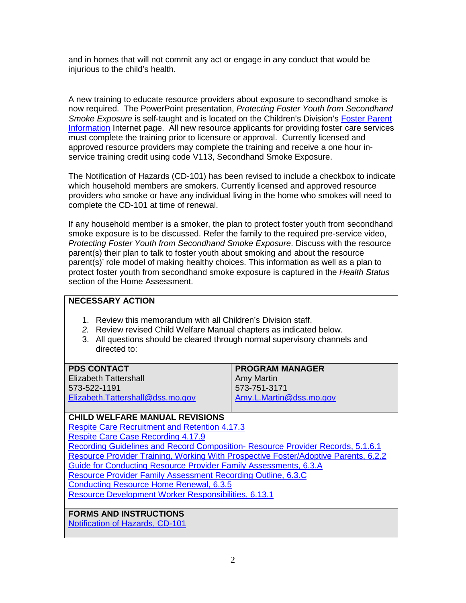and in homes that will not commit any act or engage in any conduct that would be injurious to the child's health.

A new training to educate resource providers about exposure to secondhand smoke is now required. The PowerPoint presentation, *Protecting Foster Youth from Secondhand Smoke Exposure* is self-taught and is located on the Children's Division's [Foster Parent](http://dss.mo.gov/cd/fostercare/fpinfo2.htm)  [Information](http://dss.mo.gov/cd/fostercare/fpinfo2.htm) Internet page. All new resource applicants for providing foster care services must complete the training prior to licensure or approval. Currently licensed and approved resource providers may complete the training and receive a one hour inservice training credit using code V113, Secondhand Smoke Exposure.

The Notification of Hazards (CD-101) has been revised to include a checkbox to indicate which household members are smokers. Currently licensed and approved resource providers who smoke or have any individual living in the home who smokes will need to complete the CD-101 at time of renewal.

If any household member is a smoker, the plan to protect foster youth from secondhand smoke exposure is to be discussed. Refer the family to the required pre-service video, *Protecting Foster Youth from Secondhand Smoke Exposure*. Discuss with the resource parent(s) their plan to talk to foster youth about smoking and about the resource parent(s)' role model of making healthy choices. This information as well as a plan to protect foster youth from secondhand smoke exposure is captured in the *Health Status* section of the Home Assessment.

# **NECESSARY ACTION**

- 1. Review this memorandum with all Children's Division staff.
- *2.* Review revised Child Welfare Manual chapters as indicated below.
- 3. All questions should be cleared through normal supervisory channels and directed to:

| <b>PDS CONTACT</b>               | <b>PROGRAM MANAGER</b>  |
|----------------------------------|-------------------------|
| <b>Elizabeth Tattershall</b>     | Amy Martin              |
| 573-522-1191                     | 573-751-3171            |
| Elizabeth.Tattershall@dss.mo.gov | Amy.L.Martin@dss.mo.gov |

#### **CHILD WELFARE MANUAL REVISIONS**

[Respite Care Recruitment and Retention 4.17.3](http://dss.mo.gov/cd/info/cwmanual/section4/ch17/sec4ch17sub3.htm) [Respite Care Case Recording 4.17.9](http://dss.mo.gov/cd/info/cwmanual/section4/ch17/sec4ch17sub9.htm) [Recording Guidelines and Record Composition- Resource Provider Records, 5.1.6.1](http://dss.mo.gov/cd/info/cwmanual/section5/ch1/sec5ch1sub6.htm#n161) [Resource Provider Training, Working With Prospective Foster/Adoptive Parents, 6.2.2](http://dss.mo.gov/cd/info/cwmanual/section6/ch2/sec6ch2sub2.htm) [Guide for Conducting Resource Provider Family Assessments, 6.3.A](http://dss.mo.gov/cd/info/cwmanual/section6/ch3/sec6ch3attacha.htm) [Resource Provider Family Assessment Recording Outline, 6.3.C](http://dss.mo.gov/cd/info/cwmanual/section6/ch3/sec6ch3attachc.htm) [Conducting Resource Home Renewal, 6.3.5](http://dss.mo.gov/cd/info/cwmanual/section6/ch3/sec6ch3sub5.htm) [Resource Development Worker Responsibilities, 6.13.1](http://dss.mo.gov/cd/info/cwmanual/section6/ch13/sec6ch13sub1.htm)

**FORMS AND INSTRUCTIONS**

[Notification of Hazards, CD-101](http://dss.mo.gov/cd/info/forms/)